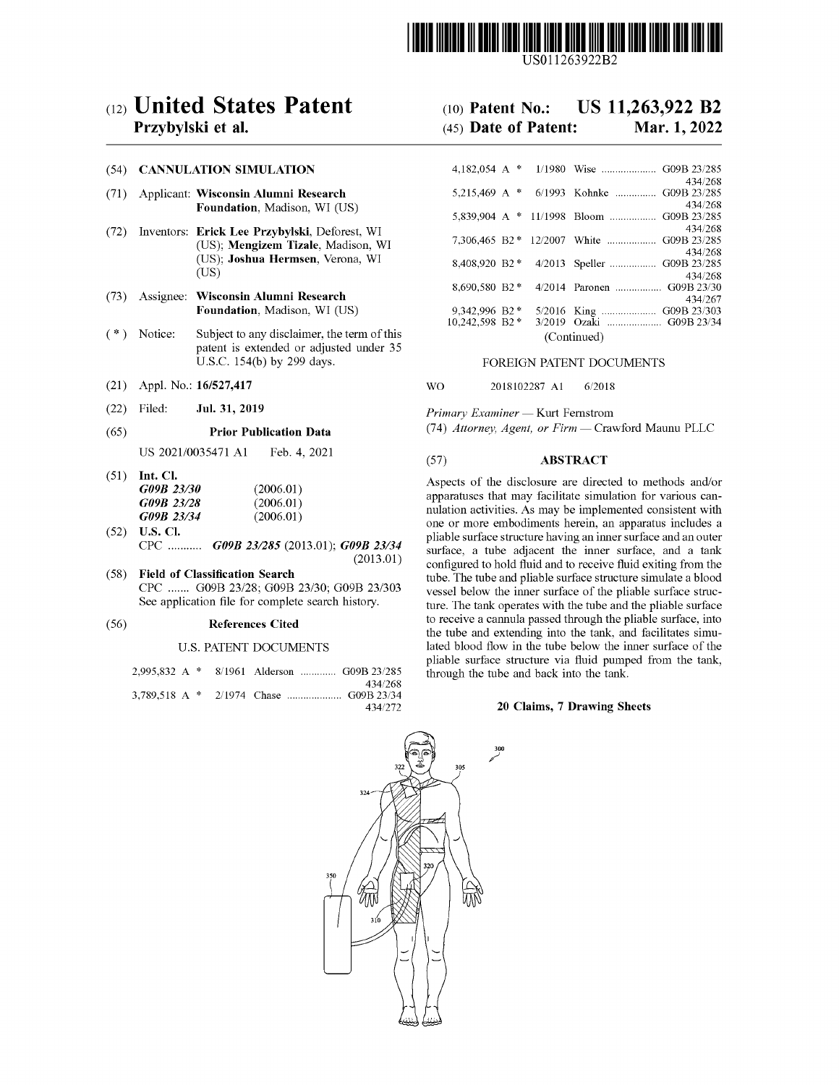

US011263922B2

# c12) **United States Patent**

## **Przybylski et al.**

#### (54) **CANNULATION SIMULATION**

- (71) Applicant: **Wisconsin Alumni Research Foundation,** Madison, WI (US)
- (72) Inventors: **Erick Lee Przybylski,** Deforest, WI (US); **Mengizem Tizale,** Madison, WI (US); **Joshua Hermsen,** Verona, WI (US)
- (73) Assignee: **Wisconsin Alumni Research Foundation,** Madison, WI (US)
- (\*) Notice: Subject to any disclaimer, the term of this patent is extended or adjusted under 35 U.S.C. 154(b) by 299 days.
- (21) Appl. No.: **16/527,417**
- (22) Filed: **Jul. 31, 2019**

#### (65) **Prior Publication Data**

US 2021/0035471 Al Feb. 4, 2021

- (51) **Int. Cl.**  *G09B 23130 G09B 23128 G09B 23134*  (2006.01) (2006.01) (2006.01)
- (52) **U.S. Cl.**  CPC ........... *G09B 231285* (2013.01); *G09B 23134*  (2013.01)
- ( 58) **Field of Classification Search**  CPC ....... G09B 23/28; G09B 23/30; G09B 23/303 See application file for complete search history.

#### (56) **References Cited**

#### U.S. PATENT DOCUMENTS

|  | 2.995.832 A * 8/1961 Alderson  G09B 23/285 |                    |
|--|--------------------------------------------|--------------------|
|  |                                            | 434/268<br>434/272 |

### (IO) **Patent No.: US 11,263,922 B2**  (45) **Date of Patent: Mar. 1, 2022**

| 4.182.054 A $*$         |  |        | 1/1980 Wise  G09B 23/285                  |         |  |  |
|-------------------------|--|--------|-------------------------------------------|---------|--|--|
|                         |  |        |                                           | 434/268 |  |  |
|                         |  |        | 5,215,469 A * 6/1993 Kohnke  G09B 23/285  |         |  |  |
|                         |  |        |                                           | 434/268 |  |  |
| 5,839,904 A $*$ 11/1998 |  |        | Bloom  G09B 23/285                        |         |  |  |
|                         |  |        |                                           | 434/268 |  |  |
|                         |  |        | 7,306,465 B2 * 12/2007 White  G09B 23/285 |         |  |  |
|                         |  |        |                                           | 434/268 |  |  |
| 8.408.920 B2 *          |  |        | 4/2013 Speller  G09B 23/285               |         |  |  |
|                         |  |        |                                           | 434/268 |  |  |
| 8.690.580 B2 *          |  |        | 4/2014 Paronen  G09B 23/30                |         |  |  |
|                         |  |        |                                           | 434/267 |  |  |
| 9,342,996 B2 *          |  |        | 5/2016 King  G09B 23/303                  |         |  |  |
| 10.242.598 B2*          |  | 3/2019 |                                           |         |  |  |
| (Continued)             |  |        |                                           |         |  |  |
|                         |  |        |                                           |         |  |  |

### FOREIGN PATENT DOCUMENTS

#### WO 2018102287 Al 6/2018

*Primary Examiner* - Kurt Fernstrom

(74) *Attorney, Agent, or Firm* - Crawford Maunu PLLC

#### (57) **ABSTRACT**

Aspects of the disclosure are directed to methods and/or apparatuses that may facilitate simulation for various cannulation activities. As may be implemented consistent with one or more embodiments herein, an apparatus includes a pliable surface structure having an inner surface and an outer surface, a tube adjacent the inner surface, and a tank configured to hold fluid and to receive fluid exiting from the tube. The tube and pliable surface structure simulate a blood vessel below the inner surface of the pliable surface structure. The tank operates with the tube and the pliable surface to receive a cannula passed through the pliable surface, into the tube and extending into the tank, and facilitates simulated blood flow in the tube below the inner surface of the pliable surface structure via fluid pumped from the tank, through the tube and back into the tank.

#### **20 Claims, 7 Drawing Sheets**

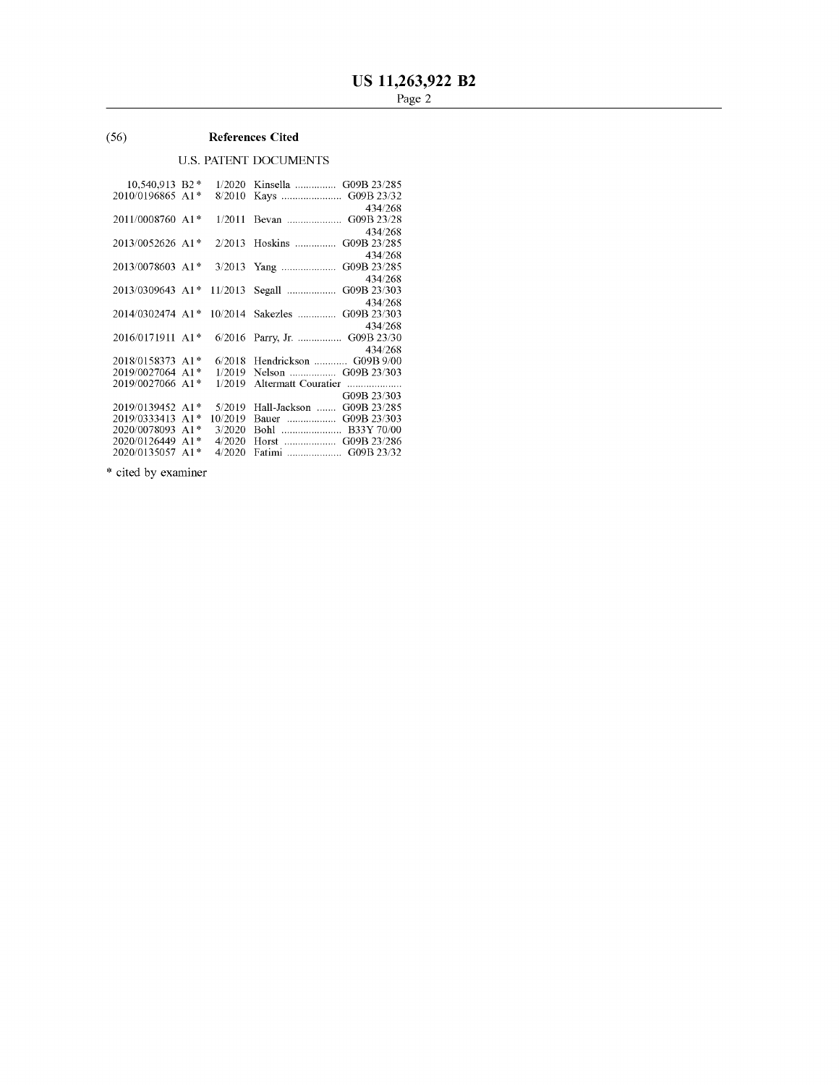### (56) **References Cited**

### U.S. PATENT DOCUMENTS

| 10,540,913 B2*   |       | 1/2020  | Kinsella  G09B 23/285         |
|------------------|-------|---------|-------------------------------|
| 2010/0196865 A1* |       | 8/2010  | Kays  G09B 23/32              |
|                  |       |         | 434/268                       |
| 2011/0008760 A1* |       | 1/2011  | Bevan  G09B 23/28             |
|                  |       |         | 434/268                       |
| 2013/0052626 A1* |       |         | 2/2013 Hoskins<br>G09B 23/285 |
|                  |       |         | 434/268                       |
| 2013/0078603 A1* |       |         | G09B 23/285                   |
|                  |       |         | 434/268                       |
| 2013/0309643 A1* |       | 11/2013 | Segall<br>G09B 23/303         |
|                  |       |         | 434/268                       |
| 2014/0302474 A1* |       | 10/2014 | Sakezles<br>G09B 23/303       |
|                  |       |         | 434/268                       |
| 2016/0171911 A1* |       |         | 6/2016 Parry, Jr.  G09B 23/30 |
|                  |       |         | 434/268                       |
| 2018/0158373 A1* |       | 6/2018  | Hendrickson  G09B 9/00        |
| 2019/0027064 A1* |       | 1/2019  |                               |
| 2019/0027066 A1* |       | 1/2019  | Altermatt Couratier           |
|                  |       |         | G09B 23/303                   |
| 2019/0139452 A1* |       | 5/2019  | Hall-Jackson  G09B 23/285     |
| 2019/0333413     | $A1*$ | 10/2019 | Bauer  G09B 23/303            |
| 2020/0078093     | $A1*$ | 3/2020  |                               |
| 2020/0126449     | $A1*$ | 4/2020  | Horst  G09B 23/286            |
| 2020/0135057 A1* |       | 4/2020  | Fatimi  G09B 23/32            |

\* cited by examiner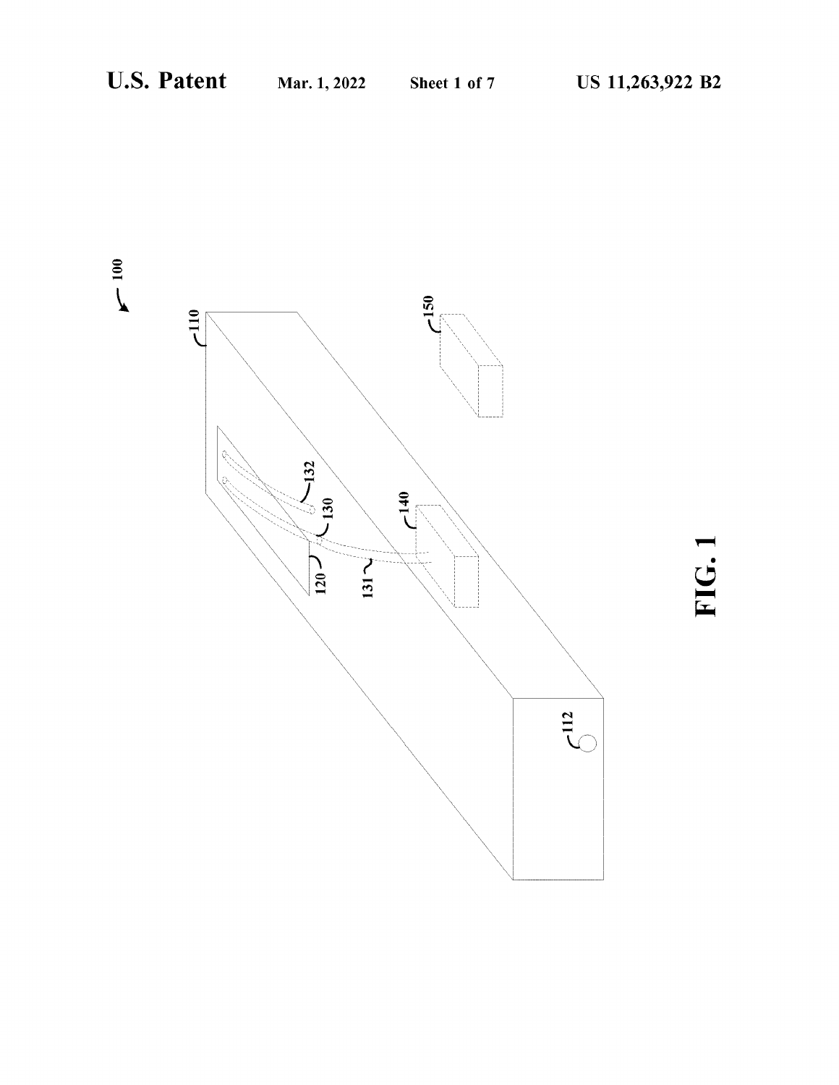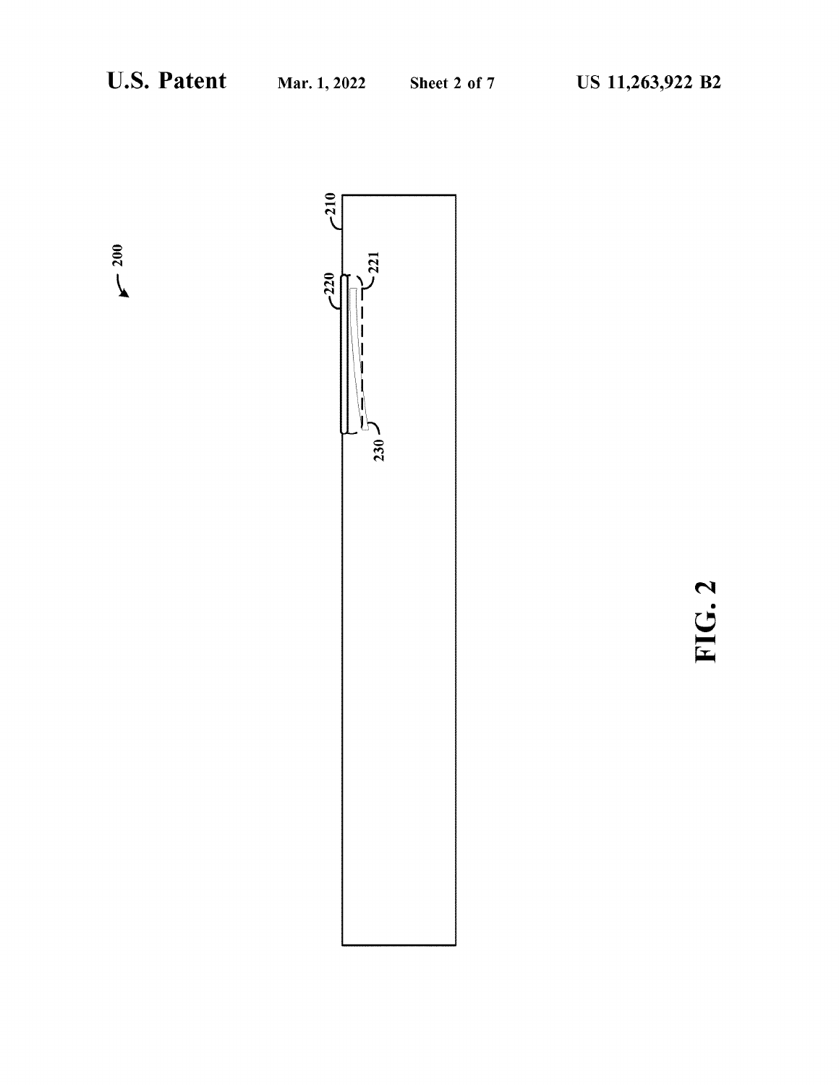$\sim 200$ 



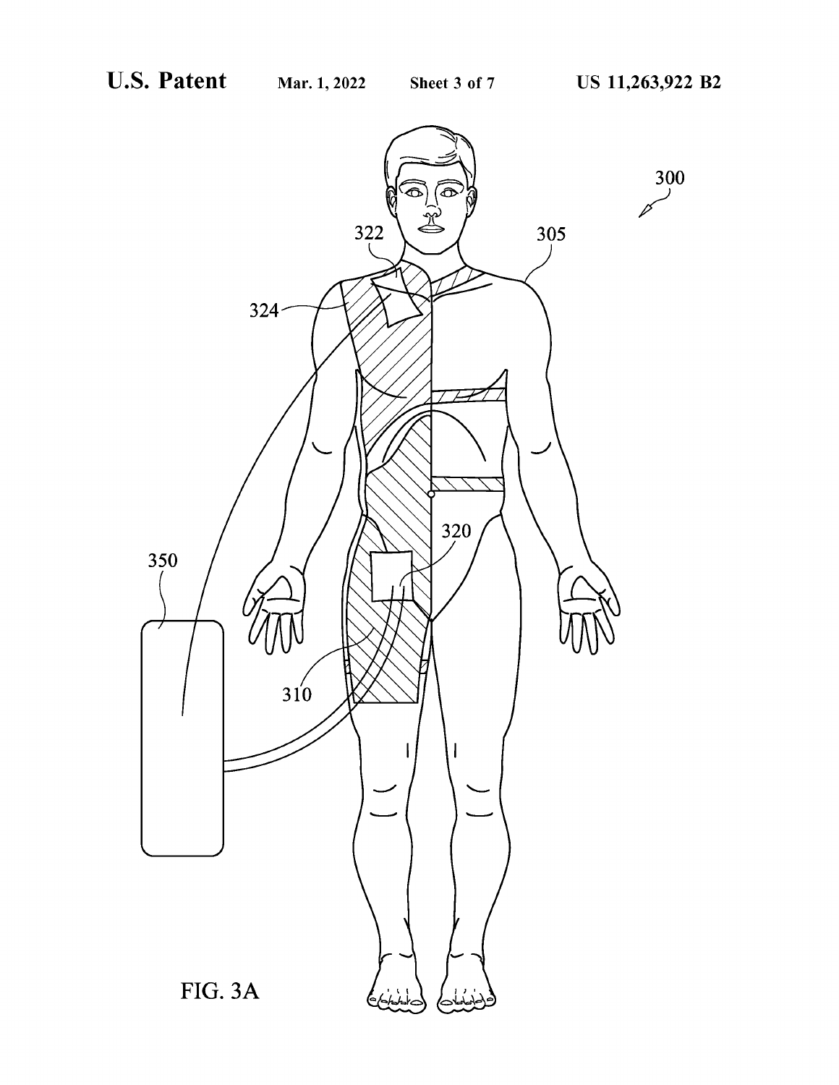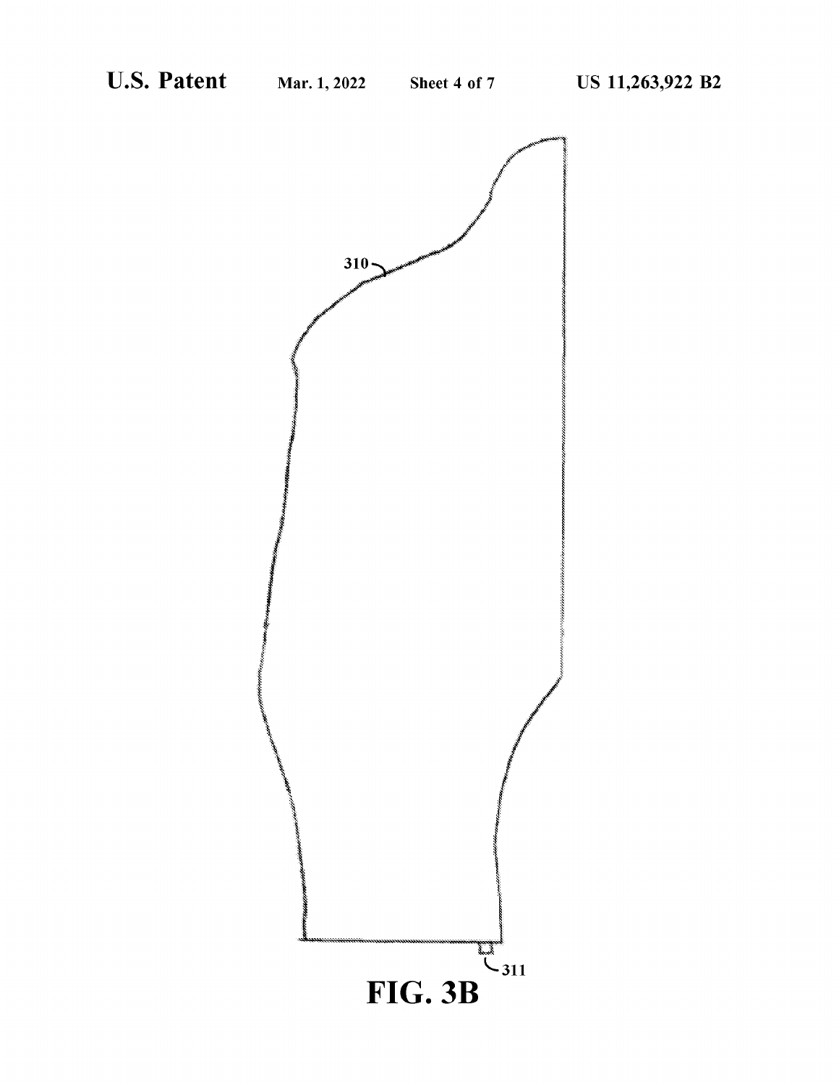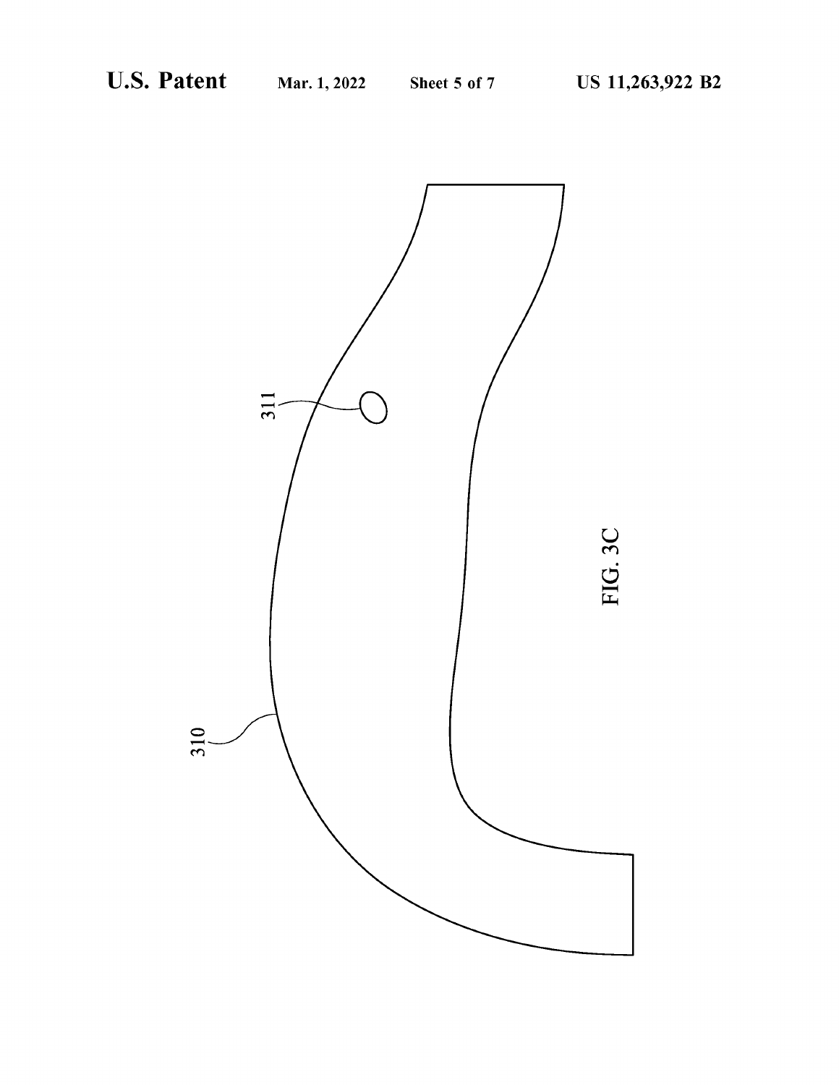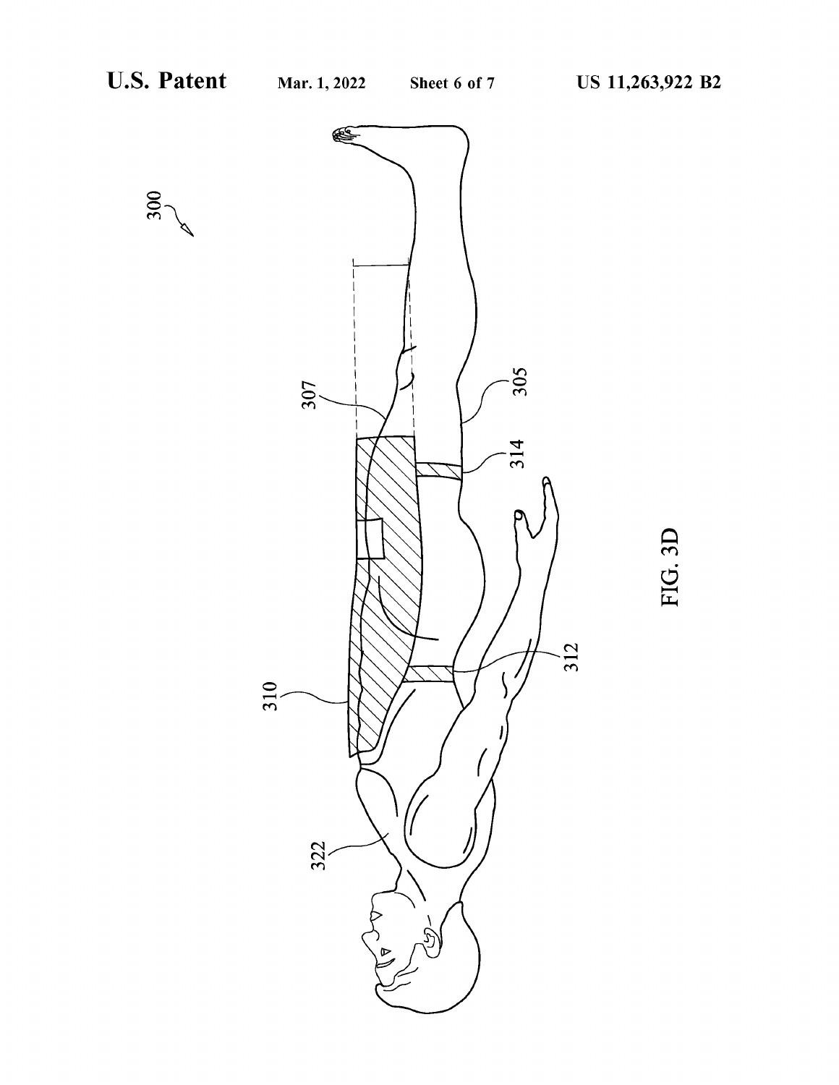300



FIG. 3D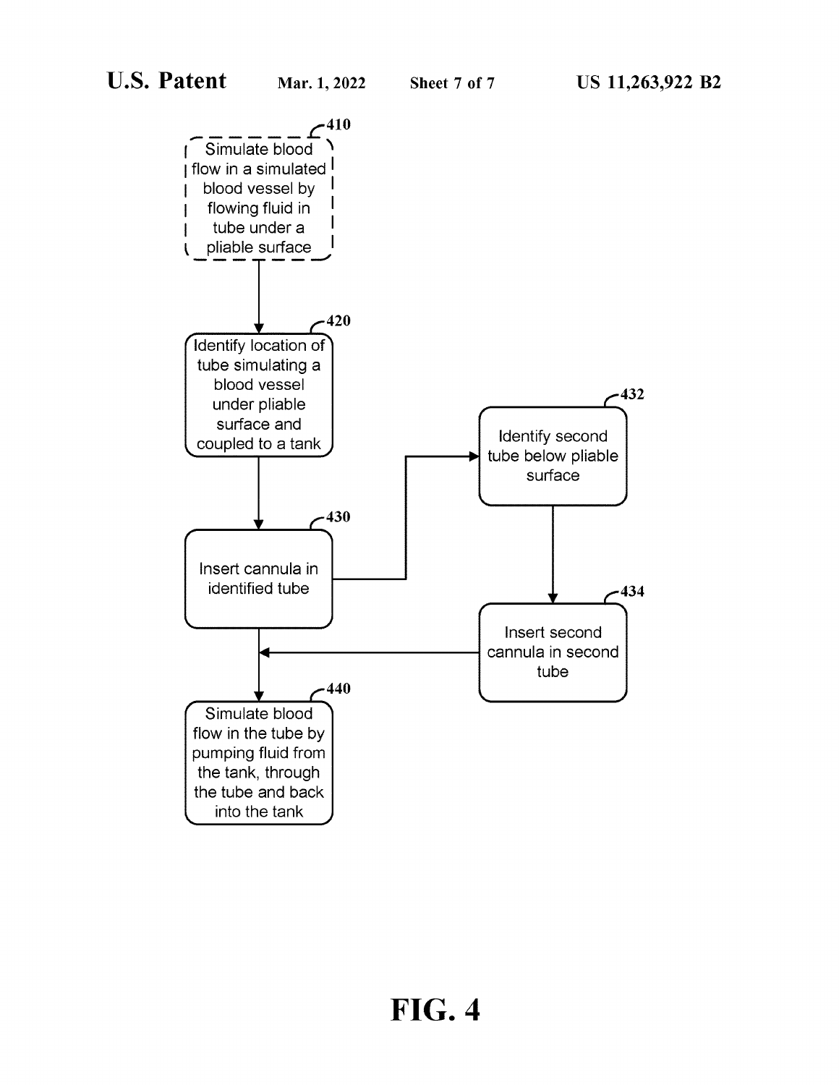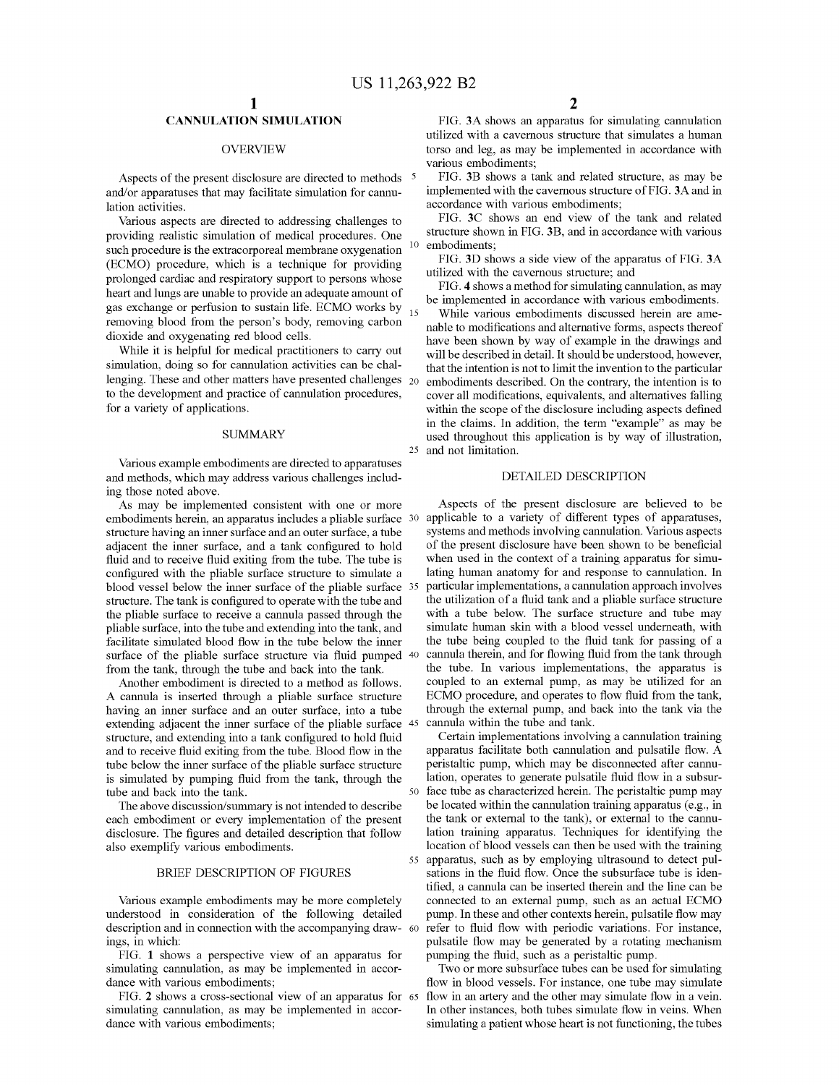### **CANNULATION SIMULATION**

#### OVERVIEW

Aspects of the present disclosure are directed to methods <sup>5</sup> and/or apparatuses that may facilitate simulation for cannulation activities.

Various aspects are directed to addressing challenges to providing realistic simulation of medical procedures. One such procedure is the extracorporeal membrane oxygenation (ECMO) procedure, which is a technique for providing prolonged cardiac and respiratory support to persons whose heart and lungs are unable to provide an adequate amount of gas exchange or perfusion to sustain life. ECMO works by  $_{15}$ removing blood from the person's body, removing carbon dioxide and oxygenating red blood cells.

While it is helpful for medical practitioners to carry out simulation, doing so for cannulation activities can be challenging. These and other matters have presented challenges 20 to the development and practice of cannulation procedures, for a variety of applications.

#### SUMMARY

Various example embodiments are directed to apparatuses and methods, which may address various challenges including those noted above.

As may be implemented consistent with one or more embodiments herein, an apparatus includes a pliable surface 30 structure having an inner surface and an outer surface, a tube adjacent the inner surface, and a tank configured to hold fluid and to receive fluid exiting from the tube. The tube is configured with the pliable surface structure to simulate a blood vessel below the inner surface of the pliable surface 35 structure. The tank is configured to operate with the tube and the pliable surface to receive a cannula passed through the pliable surface, into the tube and extending into the tank, and facilitate simulated blood flow in the tube below the inner surface of the pliable surface structure via fluid pumped 40 from the tank, through the tube and back into the tank.

Another embodiment is directed to a method as follows. A cannula is inserted through a pliable surface structure having an inner surface and an outer surface, into a tube extending adjacent the inner surface of the pliable surface 45 structure, and extending into a tank configured to hold fluid and to receive fluid exiting from the tube. Blood flow in the tube below the inner surface of the pliable surface structure is simulated by pumping fluid from the tank, through the tube and back into the tank.

The above discussion/summary is not intended to describe each embodiment or every implementation of the present disclosure. The figures and detailed description that follow also exemplify various embodiments.

#### BRIEF DESCRIPTION OF FIGURES

Various example embodiments may be more completely understood in consideration of the following detailed description and in connection with the accompanying draw- 60 ings, in which:

FIG. **1** shows a perspective view of an apparatus for simulating cannulation, as may be implemented in accordance with various embodiments;

FIG. **2** shows a cross-sectional view of an apparatus for simulating cannulation, as may be implemented in accordance with various embodiments;

FIG. **3A** shows an apparatus for simulating cannulation utilized with a cavernous structure that simulates a human torso and leg, as may be implemented in accordance with various embodiments;

FIG. **3B** shows a tank and related structure, as may be implemented with the cavernous structure of FIG. **3A** and in accordance with various embodiments;

FIG. **3C** shows an end view of the tank and related structure shown in FIG. **3B,** and in accordance with various embodiments;

FIG. **3D** shows a side view of the apparatus of FIG. **3A**  utilized with the cavernous structure; and

FIG. **4** shows a method for simulating cannulation, as may be implemented in accordance with various embodiments.

While various embodiments discussed herein are amenable to modifications and alternative forms, aspects thereof have been shown by way of example in the drawings and will be described in detail. It should be understood, however, that the intention is not to limit the invention to the particular embodiments described. On the contrary, the intention is to cover all modifications, equivalents, and alternatives falling within the scope of the disclosure including aspects defined in the claims. In addition, the term "example" as may be used throughout this application is by way of illustration, 25 and not limitation.

#### DETAILED DESCRIPTION

Aspects of the present disclosure are believed to be applicable to a variety of different types of apparatuses, systems and methods involving cannulation. Various aspects of the present disclosure have been shown to be beneficial when used in the context of a training apparatus for simulating human anatomy for and response to cannulation. In particular implementations, a cannulation approach involves the utilization of a fluid tank and a pliable surface structure with a tube below. The surface structure and tube may simulate human skin with a blood vessel underneath, with the tube being coupled to the fluid tank for passing of a cannula therein, and for flowing fluid from the tank through the tube. In various implementations, the apparatus is coupled to an external pump, as may be utilized for an ECMO procedure, and operates to flow fluid from the tank, through the external pump, and back into the tank via the cannula within the tube and tank.

Certain implementations involving a cannulation training apparatus facilitate both cannulation and pulsatile flow. A peristaltic pump, which may be disconnected after cannulation, operates to generate pulsatile fluid flow in a subsurface tube as characterized herein. The peristaltic pump may be located within the cannulation training apparatus (e.g., in the tank or external to the tank), or external to the cannulation training apparatus. Techniques for identifying the location of blood vessels can then be used with the training 55 apparatus, such as by employing ultrasound to detect pulsations in the fluid flow. Once the subsurface tube is identified, a cannula can be inserted therein and the line can be connected to an external pump, such as an actual ECMO pump. In these and other contexts herein, pulsatile flow may refer to fluid flow with periodic variations. For instance, pulsatile flow may be generated by a rotating mechanism pumping the fluid, such as a peristaltic pump.

Two or more subsurface tubes can be used for simulating flow in blood vessels. For instance, one tube may simulate flow in an artery and the other may simulate flow in a vein. In other instances, both tubes simulate flow in veins. When simulating a patient whose heart is not functioning, the tubes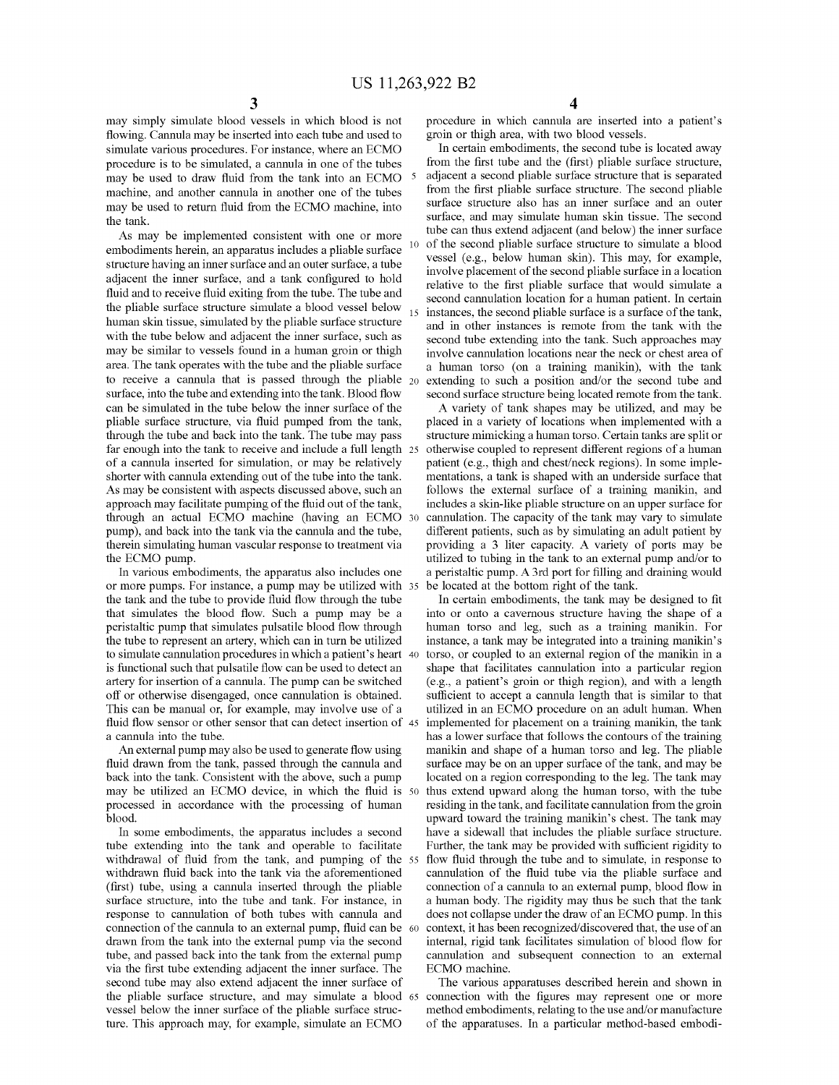may simply simulate blood vessels in which blood is not flowing. Cannula may be inserted into each tube and used to simulate various procedures. For instance, where an ECMO procedure is to be simulated, a cannula in one of the tubes may be used to draw fluid from the tank into an ECMO 5 machine, and another cannula in another one of the tubes may be used to return fluid from the ECMO machine, into the tank.

embodiments herein, an apparatus includes a pliable surface structure having an inner surface and an outer surface, a tube adjacent the inner surface, and a tank configured to hold fluid and to receive fluid exiting from the tube. The tube and the pliable surface structure simulate a blood vessel below human skin tissue, simulated by the pliable surface structure with the tube below and adjacent the inner surface, such as may be similar to vessels found in a human groin or thigh area. The tank operates with the tube and the pliable surface to receive a cannula that is passed through the pliable  $_{20}$ surface, into the tube and extending into the tank. Blood flow can be simulated in the tube below the inner surface of the pliable surface structure, via fluid pumped from the tank, through the tube and back into the tank. The tube may pass far enough into the tank to receive and include a full length 25 of a cannula inserted for simulation, or may be relatively shorter with cannula extending out of the tube into the tank. As may be consistent with aspects discussed above, such an approach may facilitate pumping of the fluid out of the tank, through an actual ECMO machine (having an ECMO pump), and back into the tank via the cannula and the tube, therein simulating human vascular response to treatment via the ECMO pump.

In various embodiments, the apparatus also includes one or more pumps. For instance, a pump may be utilized with the tank and the tube to provide fluid flow through the tube that simulates the blood flow. Such a pump may be a peristaltic pump that simulates pulsatile blood flow through the tube to represent an artery, which can in turn be utilized to simulate cannulation procedures in which a patient's heart 40 is functional such that pulsatile flow can be used to detect an artery for insertion of a cannula. The pump can be switched off or otherwise disengaged, once cannulation is obtained. This can be manual or, for example, may involve use of a fluid flow sensor or other sensor that can detect insertion of 45 a cannula into the tube.

An external pump may also be used to generate flow using fluid drawn from the tank, passed through the cannula and back into the tank. Consistent with the above, such a pump may be utilized an ECMO device, in which the fluid is processed in accordance with the processing of human blood.

In some embodiments, the apparatus includes a second tube extending into the tank and operable to facilitate withdrawal of fluid from the tank, and pumping of the 55 withdrawn fluid back into the tank via the aforementioned (first) tube, using a cannula inserted through the pliable surface structure, into the tube and tank. For instance, in response to cannulation of both tubes with cannula and connection of the cannula to an external pump, fluid can be drawn from the tank into the external pump via the second tube, and passed back into the tank from the external pump via the first tube extending adjacent the inner surface. The second tube may also extend adjacent the inner surface of the pliable surface structure, and may simulate a blood 65 vessel below the inner surface of the pliable surface structure. This approach may, for example, simulate an ECMO

procedure in which cannula are inserted into a patient's groin or thigh area, with two blood vessels.

In certain embodiments, the second tube is located away from the first tube and the (first) pliable surface structure, adjacent a second pliable surface structure that is separated from the first pliable surface structure. The second pliable surface structure also has an inner surface and an outer surface, and may simulate human skin tissue. The second As may be implemented consistent with one or more tube can thus extend adjacent (and below) the inner surface of the second pliable surface structure to simulate a blood vessel (e.g., below human skin). This may, for example, involve placement of the second pliable surface in a location relative to the first pliable surface that would simulate a second cannulation location for a human patient. In certain instances, the second pliable surface is a surface of the tank, and in other instances is remote from the tank with the second tube extending into the tank. Such approaches may involve cannulation locations near the neck or chest area of a human torso (on a training manikin), with the tank extending to such a position and/or the second tube and second surface structure being located remote from the tank.

> A variety of tank shapes may be utilized, and may be placed in a variety of locations when implemented with a structure mimicking a human torso. Certain tanks are split or 25 otherwise coupled to represent different regions of a human patient (e.g., thigh and chest/neck regions). In some implementations, a tank is shaped with an underside surface that follows the external surface of a training manikin, and includes a skin-like pliable structure on an upper surface for cannulation. The capacity of the tank may vary to simulate different patients, such as by simulating an adult patient by providing a 3 liter capacity. A variety of ports may be utilized to tubing in the tank to an external pump and/or to a peristaltic pump. A 3rd port for filling and draining would be located at the bottom right of the tank.

> In certain embodiments, the tank may be designed to fit into or onto a cavernous structure having the shape of a human torso and leg, such as a training manikin. For instance, a tank may be integrated into a training manikin's torso, or coupled to an external region of the manikin in a shape that facilitates cannulation into a particular region (e.g., a patient's groin or thigh region), and with a length sufficient to accept a cannula length that is similar to that utilized in an ECMO procedure on an adult human. When implemented for placement on a training manikin, the tank has a lower surface that follows the contours of the training manikin and shape of a human torso and leg. The pliable surface may be on an upper surface of the tank, and may be located on a region corresponding to the leg. The tank may thus extend upward along the human torso, with the tube residing in the tank, and facilitate cannulation from the groin upward toward the training manikin's chest. The tank may have a sidewall that includes the pliable surface structure. Further, the tank may be provided with sufficient rigidity to flow fluid through the tube and to simulate, in response to cannulation of the fluid tube via the pliable surface and connection of a cannula to an external pump, blood flow in a human body. The rigidity may thus be such that the tank does not collapse under the draw of an ECMO pump. In this context, it has been recognized/discovered that, the use of an internal, rigid tank facilitates simulation of blood flow for cannulation and subsequent connection to an external ECMO machine.

The various apparatuses described herein and shown in connection with the figures may represent one or more method embodiments, relating to the use and/or manufacture of the apparatuses. In a particular method-based embodi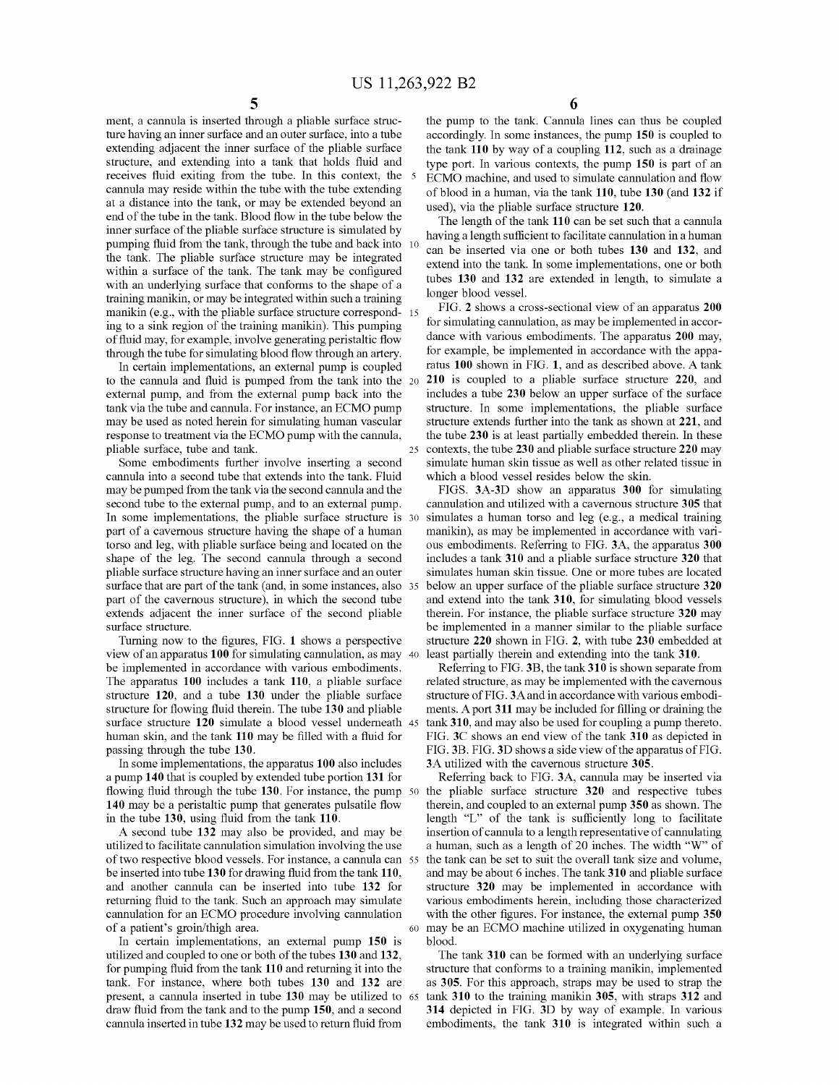ment, a cannula is inserted through a pliable surface structure having an inner surface and an outer surface, into a tube extending adjacent the inner surface of the pliable surface structure, and extending into a tank that holds fluid and receives fluid exiting from the tube. In this context, the receives fluid exiting from the tube. In this context, the  $\frac{5}{5}$  ECMO machine, and used to simulate cannulation and flow cannula may reside within the tube with the tube extending of blood in a human via the tank 110 at a distance into the tank, or may be extended beyond an used), via the pliable surface structure 120. end of the tube in the tank. Blood flow in the tube below the inner surface of the pliable surface structure is simulated by pumping fluid from the tank, through the tube and back into the tank. The pliable surface structure may be integrated within a surface of the tank. The tank may be configured with an underlying surface that conforms to the shape of a training manikin, or may be integrated within such a training manikin (e.g., with the pliable surface structure correspond- 15 ing to a sink region of the training manikin). This pumping of fluid may, for example, involve generating peristaltic flow through the tube for simulating blood flow through an artery.

to the cannula and fluid is pumped from the tank into the external pump, and from the external pump back into the tank via the tube and cannula. For instance, an ECMO pump may be used as noted herein for simulating human vascular response to treatment via the ECMO pump with the cannula, pliable surface, tube and tank.

Some embodiments further involve inserting a second cannula into a second tube that extends into the tank. Fluid may be pumped from the tank via the second cannula and the second tube to the external pump, and to an external pump. In some implementations, the pliable surface structure is 30 part of a cavernous structure having the shape of a human torso and leg, with pliable surface being and located on the shape of the leg. The second cannula through a second pliable surface structure having an inner surface and an outer surface that are part of the tank (and, in some instances, also 35 part of the cavernous structure), in which the second tube extends adjacent the inner surface of the second pliable surface structure.

Turning now to the figures, FIG. **1** shows a perspective view of an apparatus **100** for simulating cannulation, as may 40 be implemented in accordance with various embodiments. The apparatus **100** includes a tank **110,** a pliable surface structure **120,** and a tube **130** under the pliable surface structure for flowing fluid therein. The tube **130** and pliable surface structure **120** simulate a blood vessel underneath 45 human skin, and the tank **110** may be filled with a fluid for passing through the tube **130.** 

In some implementations, the apparatus **100** also includes a pump **140** that is coupled by extended tube portion **131** for flowing fluid through the tube **130.** For instance, the pump 50 **140** may be a peristaltic pump that generates pulsatile flow in the tube **130,** using fluid from the tank **110.** 

A second tube **132** may also be provided, and may be utilized to facilitate cannulation simulation involving the use of two respective blood vessels. For instance, a cannula can 55 be inserted into tube **130** for drawing fluid from the tank **110,**  and another cannula can be inserted into tube **132** for returning fluid to the tank. Such an approach may simulate cannulation for an ECMO procedure involving cannulation of a patient's groin/thigh area. 60 may be an ECMO machine utilized in oxygenating human

In certain implementations, an external pump **150** is blood. utilized and coupled to one or both of the tubes **130** and **132,**  for pumping fluid from the tank **110** and returning it into the tank. For instance, where both tubes **130 and 132** are present, a cannula inserted in tube **130** may be utilized to 65 draw fluid from the tank and to the pump **150,** and a second cannula inserted in tube **132** may be used to return fluid from

**5 6** 

the pump to the tank. Cannula lines can thus be coupled accordingly. In some instances, the pump **150** is coupled to the tank **110** by way of a coupling **112,** such as a drainage type port. In various contexts, the pump **150** is part of an of blood in a human, via the tank **110,** tube **130** (and **132** if

The length of the tank **110** can be set such that a cannula having a length sufficient to facilitate cannulation in a human can be inserted via one or both tubes **130** and **132**, and extend into the tank. In some implementations, one or both tubes **130 and 132** are extended in length, to simulate a longer blood vessel.

FIG. **2** shows a cross-sectional view of an apparatus **200**  for simulating cannulation, as may be implemented in accordance with various embodiments. The apparatus **200** may, for example, be implemented in accordance with the appa-In certain implementations, an external pump is coupled ratus 100 shown in FIG. 1, and as described above. A tank 20 **210** is coupled to a pliable surface structure **220,** and includes a tube **230** below an upper surface of the surface structure. In some implementations, the pliable surface structure extends further into the tank as shown at **221,** and the tube **230** is at least partially embedded therein. In these 25 contexts, the tube **230** and pliable surface structure **220** may simulate human skin tissue as well as other related tissue in which a blood vessel resides below the skin.

FIGS. **3A-3D** show an apparatus **300** for simulating cannulation and utilized with a cavernous structure **305** that simulates a human torso and leg (e.g., a medical training manikin), as may be implemented in accordance with various embodiments. Referring to FIG. **3A,** the apparatus **300**  includes a tank **310** and a pliable surface structure **320** that simulates human skin tissue. One or more tubes are located below an upper surface of the pliable surface structure **320**  and extend into the tank **310,** for simulating blood vessels therein. For instance, the pliable surface structure **320** may be implemented in a manner similar to the pliable surface structure **220** shown in FIG. **2,** with tube **230** embedded at least partially therein and extending into the tank **310.** 

Referring to FIG. **3B,** the tank **310** is shown separate from related structure, as may be implemented with the cavernous structure of FIG. 3Aand in accordance with various embodiments. A port **311** may be included for filling or draining the tank **310,** and may also be used for coupling a pump thereto. FIG. **3C** shows an end view of the tank **310** as depicted in FIG. **3B.** FIG. **3D** shows a side view of the apparatus of FIG. **3A** utilized with the cavernous structure **305.** 

Referring back to FIG. **3A,** cannula may be inserted via the pliable surface structure **320** and respective tubes therein, and coupled to an external pump **350** as shown. The length "L" of the tank is sufficiently long to facilitate insertion of cannula to a length representative of cannulating a human, such as a length of 20 inches. The width "W" of the tank can be set to suit the overall tank size and volume, and may be about 6 inches. The tank **310** and pliable surface structure **320** may be implemented in accordance with various embodiments herein, including those characterized with the other figures. For instance, the external pump **350** 

The tank **310** can be formed with an underlying surface structure that conforms to a training manikin, implemented as **305.** For this approach, straps may be used to strap the tank **310** to the training manikin **305,** with straps **312** and **314** depicted in FIG. **3D** by way of example. In various embodiments, the tank **310** is integrated within such a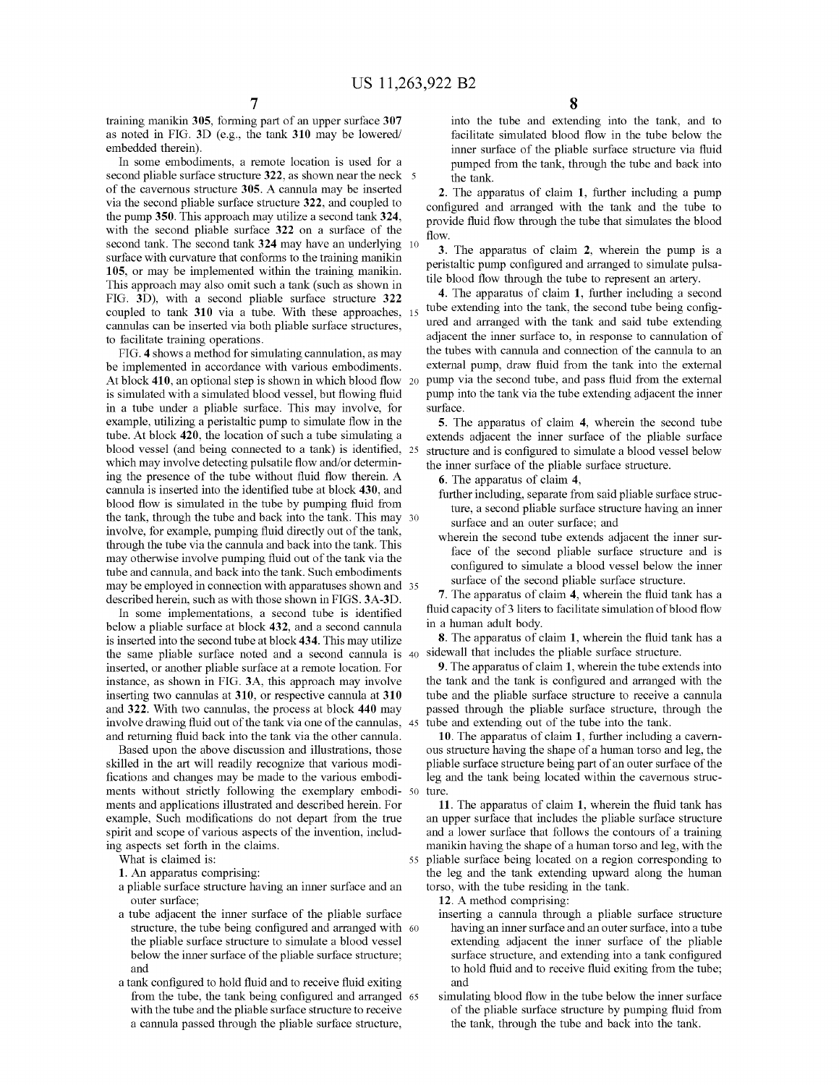training manikin **305,** forming part of an upper surface **307**  as noted in FIG. **3D** (e.g., the tank **310** may be lowered/ embedded therein).

In some embodiments, a remote location is used for a second pliable surface structure 322, as shown near the neck 5 of the cavernous structure **305.** A cannula may be inserted via the second pliable surface structure **322,** and coupled to the pump **350.** This approach may utilize a second tank **324,**  with the second pliable surface **322** on a surface of the second tank. The second tank **324** may have an underlying 10 surface with curvature that conforms to the training manikin **105,** or may be implemented within the training manikin. This approach may also omit such a tank (such as shown in FIG. **3D),** with a second pliable surface structure **322**  coupled to tank **310** via a tube. With these approaches, 15 cannulas can be inserted via both pliable surface structures, to facilitate training operations.

FIG. **4** shows a method for simulating cannulation, as may be implemented in accordance with various embodiments. At block **410,** an optional step is shown in which blood flow 20 is simulated with a simulated blood vessel, but flowing fluid in a tube under a pliable surface. This may involve, for example, utilizing a peristaltic pump to simulate flow in the tube. At block **420,** the location of such a tube simulating a blood vessel (and being connected to a tank) is identified, 25 which may involve detecting pulsatile flow and/or determining the presence of the tube without fluid flow therein. A cannula is inserted into the identified tube at block **430,** and blood flow is simulated in the tube by pumping fluid from the tank, through the tube and back into the tank. This may 30 involve, for example, pumping fluid directly out of the tank, through the tube via the cannula and back into the tank. This may otherwise involve pumping fluid out of the tank via the tube and cannula, and back into the tank. Such embodiments may be employed in connection with apparatuses shown and 35 described herein, such as with those shown in FIGS. **3A-3D.** 

In some implementations, a second tube is identified below a pliable surface at block **432,** and a second cannula is inserted into the second tube at block **434.** This may utilize the same pliable surface noted and a second cannula is 40 inserted, or another pliable surface at a remote location. For instance, as shown in FIG. **3A,** this approach may involve inserting two cannulas at **310,** or respective cannula at **310**  and **322.** With two cannulas, the process at block **440** may involve drawing fluid out of the tank via one of the cannulas, 45 and returning fluid back into the tank via the other cannula.

Based upon the above discussion and illustrations, those skilled in the art will readily recognize that various modifications and changes may be made to the various embodiments without strictly following the exemplary embodi- 50 ments and applications illustrated and described herein. For example, Such modifications do not depart from the true spirit and scope of various aspects of the invention, including aspects set forth in the claims.

What is claimed is:

- **1.** An apparatus comprising:
- a pliable surface structure having an inner surface and an outer surface;
- a tube adjacent the inner surface of the pliable surface structure, the tube being configured and arranged with 60 the pliable surface structure to simulate a blood vessel below the inner surface of the pliable surface structure; and
- a tank configured to hold fluid and to receive fluid exiting from the tube, the tank being configured and arranged 65 with the tube and the pliable surface structure to receive a cannula passed through the pliable surface structure,

into the tube and extending into the tank, and to facilitate simulated blood flow in the tube below the inner surface of the pliable surface structure via fluid pumped from the tank, through the tube and back into the tank.

**2.** The apparatus of claim **1,** further including a pump configured and arranged with the tank and the tube to provide fluid flow through the tube that simulates the blood flow.

**3.** The apparatus of claim **2,** wherein the pump is a peristaltic pump configured and arranged to simulate pulsatile blood flow through the tube to represent an artery.

**4.** The apparatus of claim **1,** further including a second tube extending into the tank, the second tube being configured and arranged with the tank and said tube extending adjacent the inner surface to, in response to cannulation of the tubes with cannula and connection of the cannula to an external pump, draw fluid from the tank into the external pump via the second tube, and pass fluid from the external pump into the tank via the tube extending adjacent the inner surface.

**5.** The apparatus of claim **4,** wherein the second tube extends adjacent the inner surface of the pliable surface structure and is configured to simulate a blood vessel below the inner surface of the pliable surface structure.

**6.** The apparatus of claim **4,** 

- further including, separate from said pliable surface structure, a second pliable surface structure having an inner surface and an outer surface; and
- wherein the second tube extends adjacent the inner surface of the second pliable surface structure and is configured to simulate a blood vessel below the inner surface of the second pliable surface structure.

**7.** The apparatus of claim **4,** wherein the fluid tank has a fluid capacity of 3 liters to facilitate simulation of blood flow in a human adult body.

**8.** The apparatus of claim **1,** wherein the fluid tank has a sidewall that includes the pliable surface structure.

**9.** The apparatus of claim **1,** wherein the tube extends into the tank and the tank is configured and arranged with the tube and the pliable surface structure to receive a cannula passed through the pliable surface structure, through the tube and extending out of the tube into the tank.

**10.** The apparatus of claim **1,** further including a cavernous structure having the shape of a human torso and leg, the pliable surface structure being part of an outer surface of the leg and the tank being located within the cavernous structure.

**11.** The apparatus of claim **1,** wherein the fluid tank has an upper surface that includes the pliable surface structure and a lower surface that follows the contours of a training manikin having the shape of a human torso and leg, with the 55 pliable surface being located on a region corresponding to the leg and the tank extending upward along the human torso, with the tube residing in the tank.

**12.** A method comprising:

- inserting a cannula through a pliable surface structure having an inner surface and an outer surface, into a tube extending adjacent the inner surface of the pliable surface structure, and extending into a tank configured to hold fluid and to receive fluid exiting from the tube; and
- simulating blood flow in the tube below the inner surface of the pliable surface structure by pumping fluid from the tank, through the tube and back into the tank.